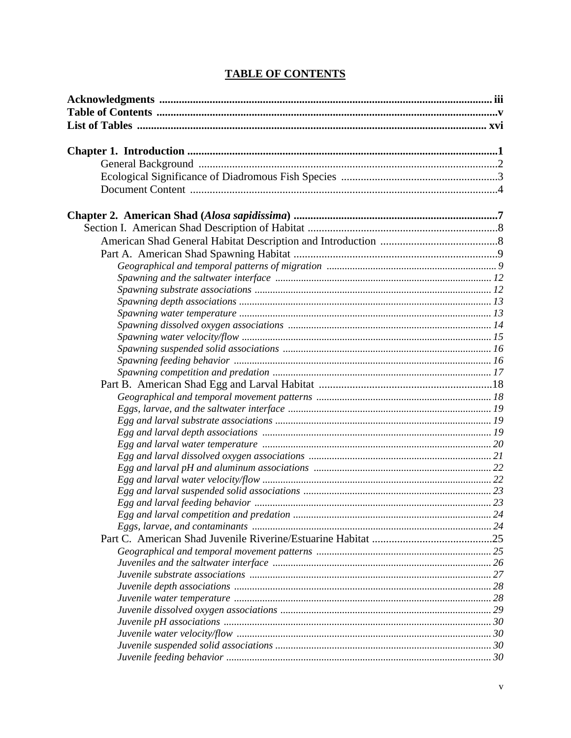## **TABLE OF CONTENTS**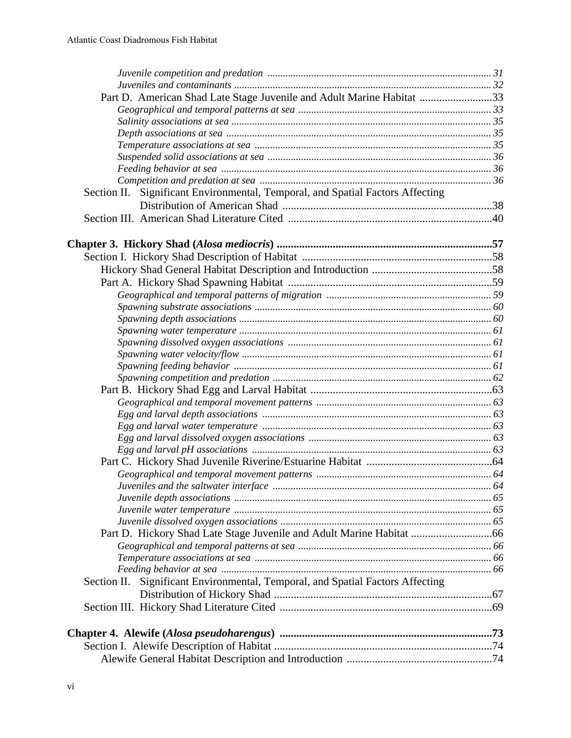| Part D. American Shad Late Stage Juvenile and Adult Marine Habitat 33             |  |
|-----------------------------------------------------------------------------------|--|
|                                                                                   |  |
|                                                                                   |  |
|                                                                                   |  |
|                                                                                   |  |
|                                                                                   |  |
|                                                                                   |  |
|                                                                                   |  |
| Section II. Significant Environmental, Temporal, and Spatial Factors Affecting    |  |
|                                                                                   |  |
|                                                                                   |  |
|                                                                                   |  |
|                                                                                   |  |
|                                                                                   |  |
|                                                                                   |  |
|                                                                                   |  |
|                                                                                   |  |
|                                                                                   |  |
|                                                                                   |  |
|                                                                                   |  |
|                                                                                   |  |
|                                                                                   |  |
|                                                                                   |  |
|                                                                                   |  |
|                                                                                   |  |
|                                                                                   |  |
|                                                                                   |  |
|                                                                                   |  |
|                                                                                   |  |
|                                                                                   |  |
|                                                                                   |  |
|                                                                                   |  |
|                                                                                   |  |
|                                                                                   |  |
|                                                                                   |  |
|                                                                                   |  |
|                                                                                   |  |
|                                                                                   |  |
|                                                                                   |  |
| Significant Environmental, Temporal, and Spatial Factors Affecting<br>Section II. |  |
|                                                                                   |  |
|                                                                                   |  |
|                                                                                   |  |
|                                                                                   |  |
|                                                                                   |  |
|                                                                                   |  |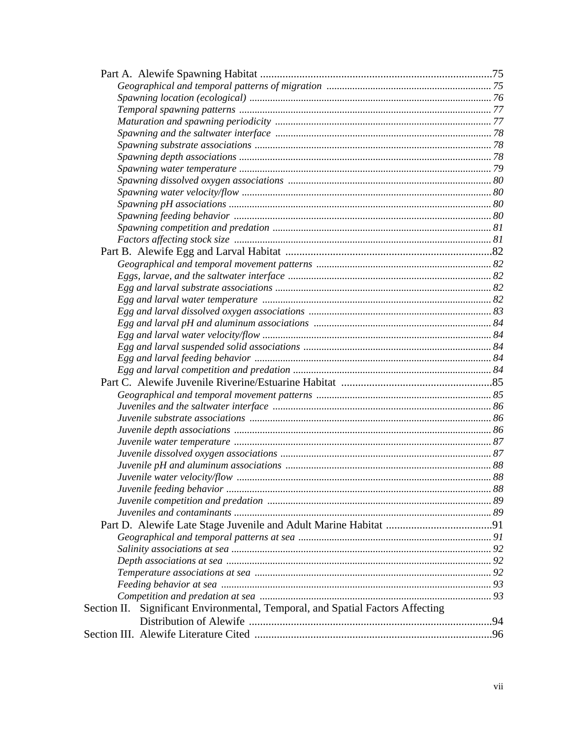| Section II. Significant Environmental, Temporal, and Spatial Factors Affecting |  |
|--------------------------------------------------------------------------------|--|
|                                                                                |  |
|                                                                                |  |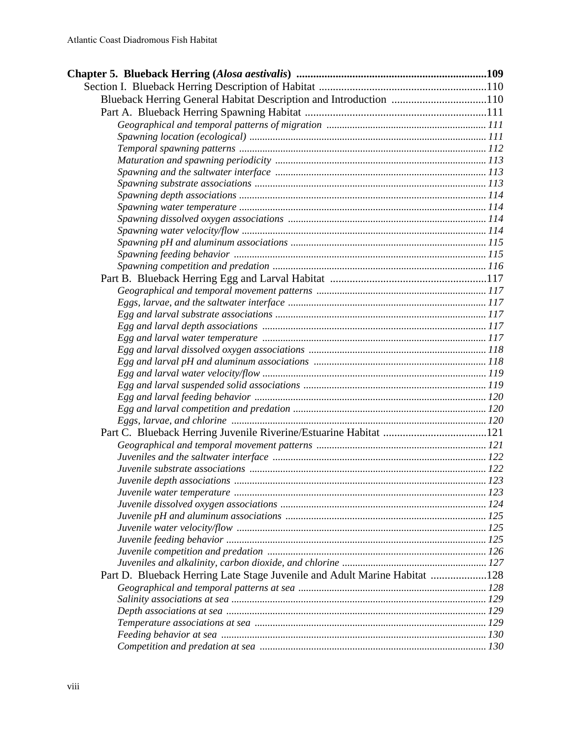| Blueback Herring General Habitat Description and Introduction 110         |  |
|---------------------------------------------------------------------------|--|
|                                                                           |  |
|                                                                           |  |
|                                                                           |  |
|                                                                           |  |
|                                                                           |  |
|                                                                           |  |
|                                                                           |  |
|                                                                           |  |
|                                                                           |  |
|                                                                           |  |
|                                                                           |  |
|                                                                           |  |
|                                                                           |  |
|                                                                           |  |
|                                                                           |  |
|                                                                           |  |
|                                                                           |  |
|                                                                           |  |
|                                                                           |  |
|                                                                           |  |
|                                                                           |  |
|                                                                           |  |
|                                                                           |  |
|                                                                           |  |
|                                                                           |  |
|                                                                           |  |
|                                                                           |  |
|                                                                           |  |
|                                                                           |  |
|                                                                           |  |
|                                                                           |  |
|                                                                           |  |
|                                                                           |  |
|                                                                           |  |
|                                                                           |  |
|                                                                           |  |
|                                                                           |  |
|                                                                           |  |
|                                                                           |  |
| Part D. Blueback Herring Late Stage Juvenile and Adult Marine Habitat 128 |  |
|                                                                           |  |
|                                                                           |  |
|                                                                           |  |
|                                                                           |  |
|                                                                           |  |
|                                                                           |  |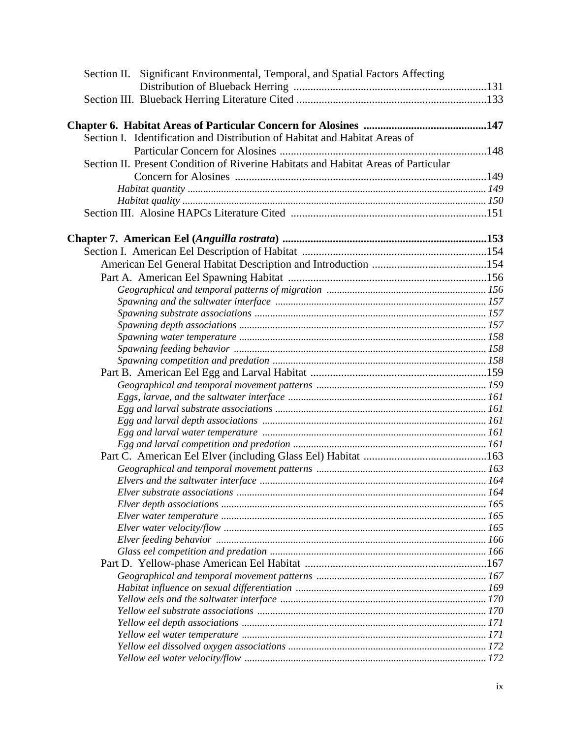| Section II. Significant Environmental, Temporal, and Spatial Factors Affecting     |  |
|------------------------------------------------------------------------------------|--|
|                                                                                    |  |
|                                                                                    |  |
|                                                                                    |  |
|                                                                                    |  |
| Section I. Identification and Distribution of Habitat and Habitat Areas of         |  |
|                                                                                    |  |
| Section II. Present Condition of Riverine Habitats and Habitat Areas of Particular |  |
|                                                                                    |  |
|                                                                                    |  |
|                                                                                    |  |
|                                                                                    |  |
|                                                                                    |  |
|                                                                                    |  |
|                                                                                    |  |
|                                                                                    |  |
|                                                                                    |  |
|                                                                                    |  |
|                                                                                    |  |
|                                                                                    |  |
|                                                                                    |  |
|                                                                                    |  |
|                                                                                    |  |
|                                                                                    |  |
|                                                                                    |  |
|                                                                                    |  |
|                                                                                    |  |
|                                                                                    |  |
|                                                                                    |  |
|                                                                                    |  |
|                                                                                    |  |
|                                                                                    |  |
|                                                                                    |  |
|                                                                                    |  |
|                                                                                    |  |
|                                                                                    |  |
|                                                                                    |  |
|                                                                                    |  |
|                                                                                    |  |
|                                                                                    |  |
|                                                                                    |  |
|                                                                                    |  |
|                                                                                    |  |
|                                                                                    |  |
|                                                                                    |  |
|                                                                                    |  |
|                                                                                    |  |
|                                                                                    |  |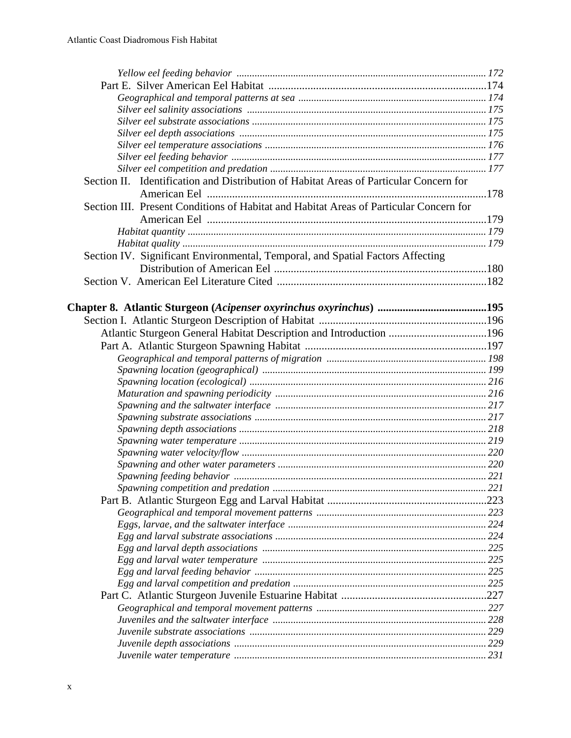| Section II. Identification and Distribution of Habitat Areas of Particular Concern for |  |
|----------------------------------------------------------------------------------------|--|
|                                                                                        |  |
| Section III. Present Conditions of Habitat and Habitat Areas of Particular Concern for |  |
|                                                                                        |  |
|                                                                                        |  |
|                                                                                        |  |
| Section IV. Significant Environmental, Temporal, and Spatial Factors Affecting         |  |
|                                                                                        |  |
|                                                                                        |  |
|                                                                                        |  |
|                                                                                        |  |
|                                                                                        |  |
|                                                                                        |  |
| Atlantic Sturgeon General Habitat Description and Introduction 196                     |  |
|                                                                                        |  |
|                                                                                        |  |
|                                                                                        |  |
|                                                                                        |  |
|                                                                                        |  |
|                                                                                        |  |
|                                                                                        |  |
|                                                                                        |  |
|                                                                                        |  |
|                                                                                        |  |
|                                                                                        |  |
|                                                                                        |  |
|                                                                                        |  |
|                                                                                        |  |
|                                                                                        |  |
|                                                                                        |  |
|                                                                                        |  |
|                                                                                        |  |
|                                                                                        |  |
|                                                                                        |  |
|                                                                                        |  |
|                                                                                        |  |
|                                                                                        |  |
|                                                                                        |  |
|                                                                                        |  |
|                                                                                        |  |
|                                                                                        |  |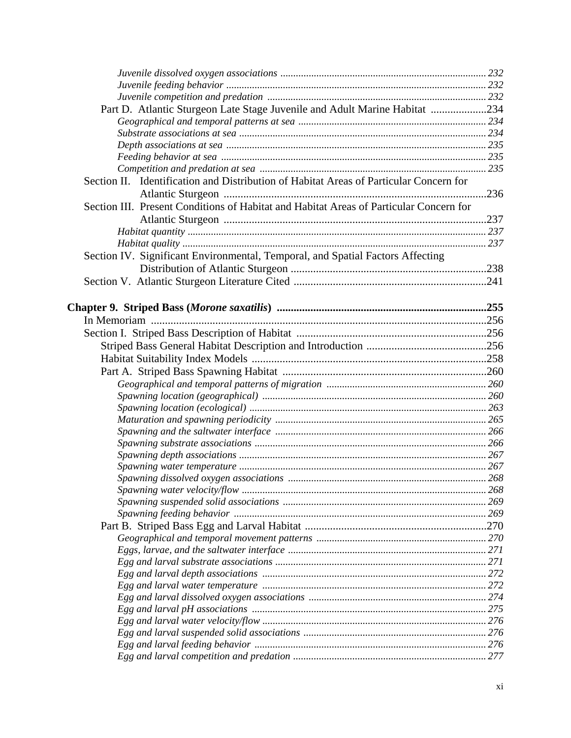| Part D. Atlantic Sturgeon Late Stage Juvenile and Adult Marine Habitat 234             |  |
|----------------------------------------------------------------------------------------|--|
|                                                                                        |  |
|                                                                                        |  |
|                                                                                        |  |
|                                                                                        |  |
|                                                                                        |  |
| Section II. Identification and Distribution of Habitat Areas of Particular Concern for |  |
|                                                                                        |  |
| Section III. Present Conditions of Habitat and Habitat Areas of Particular Concern for |  |
|                                                                                        |  |
|                                                                                        |  |
|                                                                                        |  |
| Section IV. Significant Environmental, Temporal, and Spatial Factors Affecting         |  |
|                                                                                        |  |
|                                                                                        |  |
|                                                                                        |  |
|                                                                                        |  |
|                                                                                        |  |
|                                                                                        |  |
|                                                                                        |  |
|                                                                                        |  |
|                                                                                        |  |
|                                                                                        |  |
|                                                                                        |  |
|                                                                                        |  |
|                                                                                        |  |
|                                                                                        |  |
|                                                                                        |  |
|                                                                                        |  |
|                                                                                        |  |
|                                                                                        |  |
|                                                                                        |  |
|                                                                                        |  |
|                                                                                        |  |
|                                                                                        |  |
|                                                                                        |  |
|                                                                                        |  |
|                                                                                        |  |
|                                                                                        |  |
|                                                                                        |  |
|                                                                                        |  |
|                                                                                        |  |
|                                                                                        |  |
|                                                                                        |  |
|                                                                                        |  |
|                                                                                        |  |
|                                                                                        |  |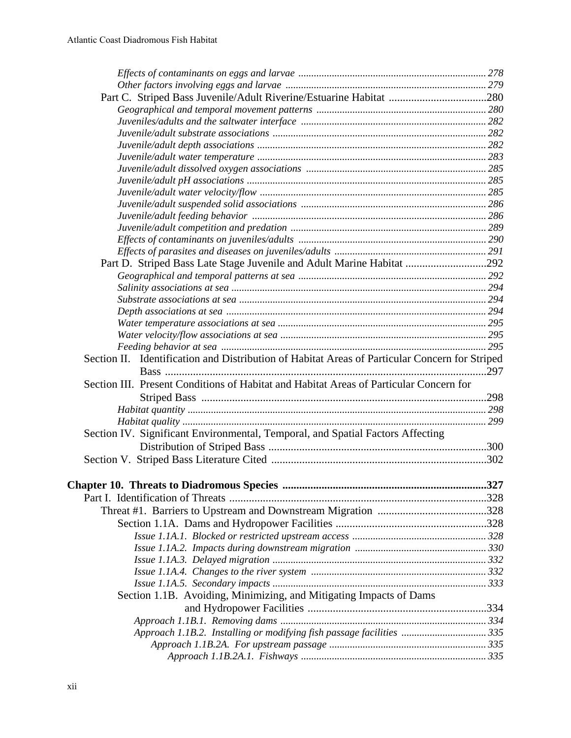| Part D. Striped Bass Late Stage Juvenile and Adult Marine Habitat 292                          |      |
|------------------------------------------------------------------------------------------------|------|
|                                                                                                |      |
|                                                                                                |      |
|                                                                                                |      |
|                                                                                                |      |
|                                                                                                |      |
|                                                                                                |      |
|                                                                                                |      |
| Section II. Identification and Distribution of Habitat Areas of Particular Concern for Striped |      |
|                                                                                                | .297 |
| Section III. Present Conditions of Habitat and Habitat Areas of Particular Concern for         |      |
|                                                                                                |      |
|                                                                                                |      |
|                                                                                                |      |
| Section IV. Significant Environmental, Temporal, and Spatial Factors Affecting                 |      |
|                                                                                                |      |
|                                                                                                |      |
|                                                                                                |      |
|                                                                                                | .327 |
|                                                                                                |      |
|                                                                                                |      |
|                                                                                                |      |
|                                                                                                |      |
|                                                                                                |      |
|                                                                                                |      |
|                                                                                                |      |
|                                                                                                |      |
|                                                                                                |      |
| Section 1.1B. Avoiding, Minimizing, and Mitigating Impacts of Dams                             |      |
|                                                                                                |      |
|                                                                                                |      |
| Approach 1.1B.2. Installing or modifying fish passage facilities  335                          |      |
|                                                                                                |      |
|                                                                                                |      |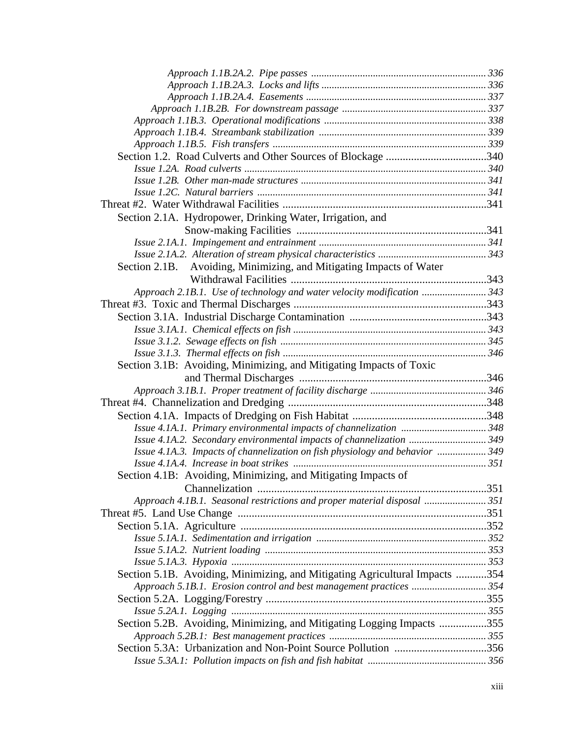| Section 2.1A. Hydropower, Drinking Water, Irrigation, and                    |  |
|------------------------------------------------------------------------------|--|
|                                                                              |  |
|                                                                              |  |
|                                                                              |  |
| Section 2.1B. Avoiding, Minimizing, and Mitigating Impacts of Water          |  |
|                                                                              |  |
| Approach 2.1B.1. Use of technology and water velocity modification  343      |  |
|                                                                              |  |
|                                                                              |  |
|                                                                              |  |
|                                                                              |  |
|                                                                              |  |
| Section 3.1B: Avoiding, Minimizing, and Mitigating Impacts of Toxic          |  |
|                                                                              |  |
|                                                                              |  |
|                                                                              |  |
|                                                                              |  |
|                                                                              |  |
| Issue 4.1A.2. Secondary environmental impacts of channelization 349          |  |
| Issue 4.1A.3. Impacts of channelization on fish physiology and behavior  349 |  |
|                                                                              |  |
| Section 4.1B: Avoiding, Minimizing, and Mitigating Impacts of                |  |
|                                                                              |  |
| Approach 4.1B.1. Seasonal restrictions and proper material disposal  351     |  |
|                                                                              |  |
|                                                                              |  |
|                                                                              |  |
|                                                                              |  |
|                                                                              |  |
| Section 5.1B. Avoiding, Minimizing, and Mitigating Agricultural Impacts 354  |  |
| Approach 5.1B.1. Erosion control and best management practices 354           |  |
|                                                                              |  |
|                                                                              |  |
| Section 5.2B. Avoiding, Minimizing, and Mitigating Logging Impacts 355       |  |
|                                                                              |  |
| Section 5.3A: Urbanization and Non-Point Source Pollution 356                |  |
|                                                                              |  |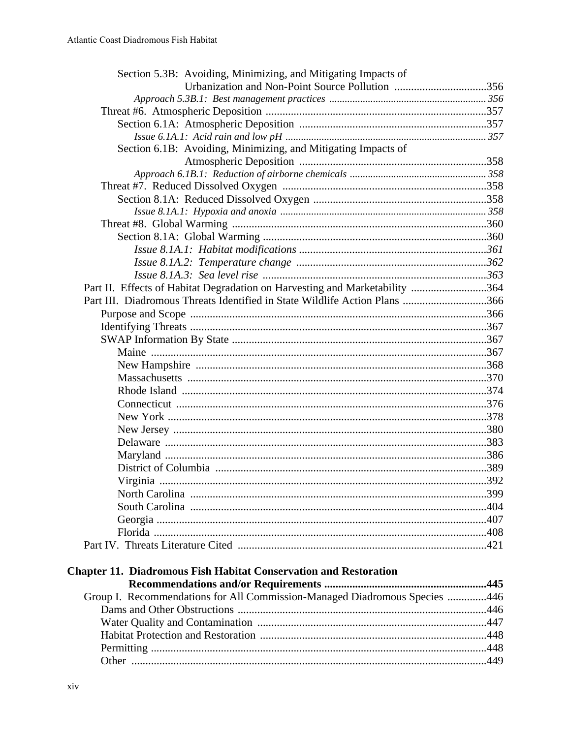| Section 5.3B: Avoiding, Minimizing, and Mitigating Impacts of               |  |
|-----------------------------------------------------------------------------|--|
| Urbanization and Non-Point Source Pollution 356                             |  |
|                                                                             |  |
|                                                                             |  |
|                                                                             |  |
|                                                                             |  |
| Section 6.1B: Avoiding, Minimizing, and Mitigating Impacts of               |  |
|                                                                             |  |
|                                                                             |  |
|                                                                             |  |
|                                                                             |  |
|                                                                             |  |
|                                                                             |  |
|                                                                             |  |
|                                                                             |  |
|                                                                             |  |
|                                                                             |  |
| Part II. Effects of Habitat Degradation on Harvesting and Marketability 364 |  |
| Part III. Diadromous Threats Identified in State Wildlife Action Plans 366  |  |
|                                                                             |  |
|                                                                             |  |
|                                                                             |  |
|                                                                             |  |
|                                                                             |  |
|                                                                             |  |
|                                                                             |  |
|                                                                             |  |
|                                                                             |  |
|                                                                             |  |
|                                                                             |  |
|                                                                             |  |
|                                                                             |  |
|                                                                             |  |
|                                                                             |  |
|                                                                             |  |
|                                                                             |  |
|                                                                             |  |
|                                                                             |  |
|                                                                             |  |
| <b>Chapter 11. Diadromous Fish Habitat Conservation and Restoration</b>     |  |
|                                                                             |  |
| Group I. Recommendations for All Commission-Managed Diadromous Species 446  |  |
|                                                                             |  |
|                                                                             |  |
|                                                                             |  |
|                                                                             |  |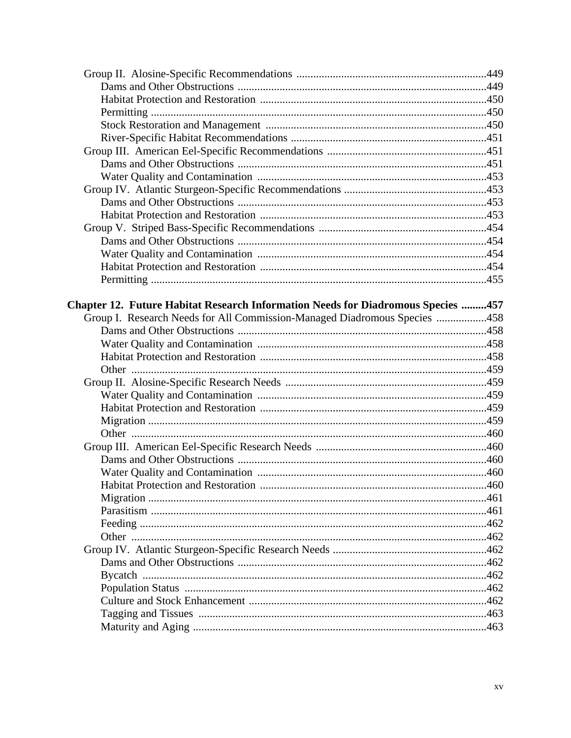| Chapter 12. Future Habitat Research Information Needs for Diadromous Species 457 |       |
|----------------------------------------------------------------------------------|-------|
| Group I. Research Needs for All Commission-Managed Diadromous Species 458        |       |
|                                                                                  |       |
|                                                                                  |       |
|                                                                                  |       |
|                                                                                  |       |
|                                                                                  |       |
|                                                                                  |       |
|                                                                                  |       |
|                                                                                  |       |
|                                                                                  |       |
|                                                                                  |       |
|                                                                                  |       |
|                                                                                  |       |
|                                                                                  | . 460 |
|                                                                                  |       |
|                                                                                  |       |
|                                                                                  |       |
|                                                                                  |       |
|                                                                                  |       |
|                                                                                  |       |
|                                                                                  |       |
|                                                                                  |       |
|                                                                                  |       |
|                                                                                  |       |
|                                                                                  |       |
|                                                                                  |       |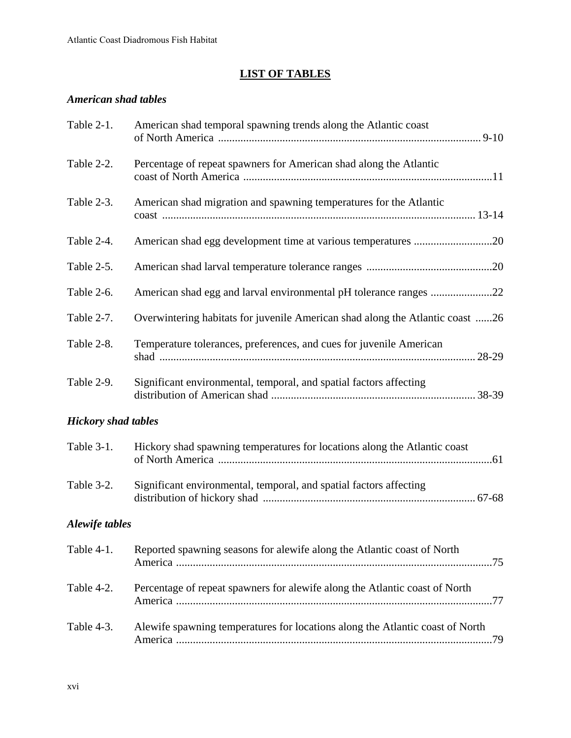## **LIST OF TABLES**

## *American shad tables*

| Table 2-1.                 | American shad temporal spawning trends along the Atlantic coast               |
|----------------------------|-------------------------------------------------------------------------------|
| Table 2-2.                 | Percentage of repeat spawners for American shad along the Atlantic            |
| Table 2-3.                 | American shad migration and spawning temperatures for the Atlantic            |
| Table 2-4.                 | American shad egg development time at various temperatures 20                 |
| Table 2-5.                 |                                                                               |
| Table 2-6.                 |                                                                               |
| Table 2-7.                 | Overwintering habitats for juvenile American shad along the Atlantic coast 26 |
| Table 2-8.                 | Temperature tolerances, preferences, and cues for juvenile American           |
| Table 2-9.                 | Significant environmental, temporal, and spatial factors affecting            |
| <b>Hickory shad tables</b> |                                                                               |
| Table 3-1.                 | Hickory shad spawning temperatures for locations along the Atlantic coast     |
| Table 3-2.                 | Significant environmental, temporal, and spatial factors affecting            |
| <b>Alewife tables</b>      |                                                                               |
| Table 4-1.                 | Reported spawning seasons for alewife along the Atlantic coast of North       |
| Table 4-2.                 | Percentage of repeat spawners for alewife along the Atlantic coast of North   |
| Table 4-3.                 | Alewife spawning temperatures for locations along the Atlantic coast of North |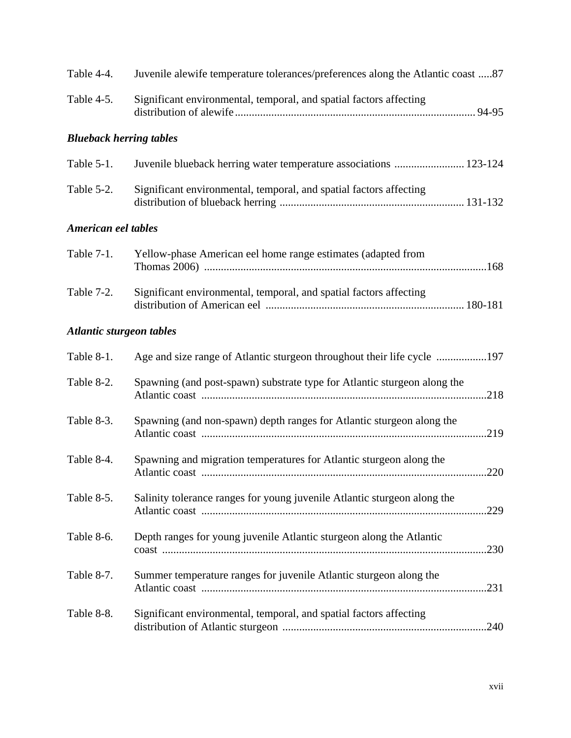| Table 4-4.                      | Juvenile alewife temperature tolerances/preferences along the Atlantic coast 87  |
|---------------------------------|----------------------------------------------------------------------------------|
| Table 4-5.                      | Significant environmental, temporal, and spatial factors affecting               |
| <b>Blueback herring tables</b>  |                                                                                  |
| Table 5-1.                      | Juvenile blueback herring water temperature associations  123-124                |
| Table 5-2.                      | Significant environmental, temporal, and spatial factors affecting               |
| American eel tables             |                                                                                  |
| Table 7-1.                      | Yellow-phase American eel home range estimates (adapted from                     |
| Table 7-2.                      | Significant environmental, temporal, and spatial factors affecting               |
| <b>Atlantic sturgeon tables</b> |                                                                                  |
| Table 8-1.                      | Age and size range of Atlantic sturgeon throughout their life cycle 197          |
| Table 8-2.                      | Spawning (and post-spawn) substrate type for Atlantic sturgeon along the         |
| Table 8-3.                      | Spawning (and non-spawn) depth ranges for Atlantic sturgeon along the            |
| Table 8-4.                      | Spawning and migration temperatures for Atlantic sturgeon along the              |
| Table 8-5.                      | Salinity tolerance ranges for young juvenile Atlantic sturgeon along the<br>.229 |
| Table 8-6.                      | Depth ranges for young juvenile Atlantic sturgeon along the Atlantic<br>.230     |
| Table 8-7.                      | Summer temperature ranges for juvenile Atlantic sturgeon along the               |
| Table 8-8.                      | Significant environmental, temporal, and spatial factors affecting               |